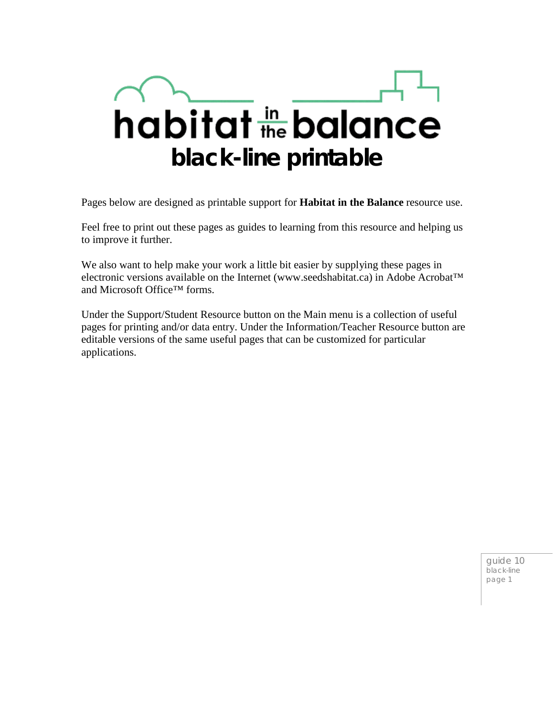

Pages below are designed as printable support for **Habitat in the Balance** resource use.

Feel free to print out these pages as guides to learning from this resource and helping us to improve it further.

We also want to help make your work a little bit easier by supplying these pages in electronic versions available on the Internet (www.seedshabitat.ca) in Adobe Acrobat™ and Microsoft Office™ forms.

Under the Support/Student Resource button on the Main menu is a collection of useful pages for printing and/or data entry. Under the Information/Teacher Resource button are editable versions of the same useful pages that can be customized for particular applications.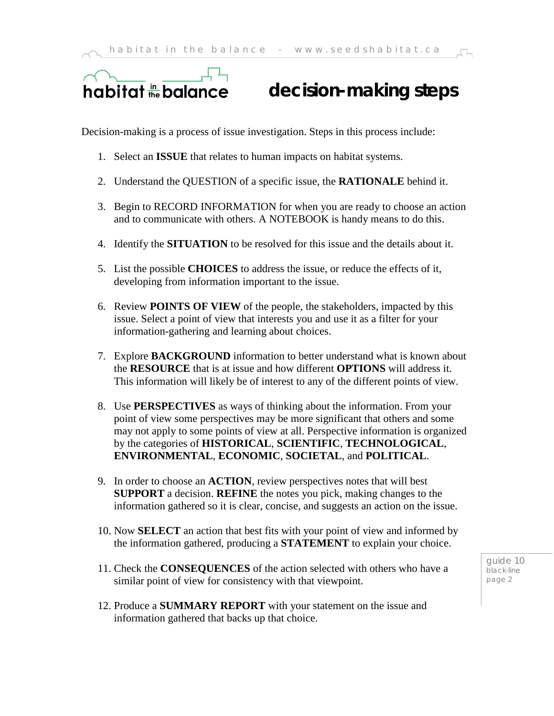# habitat in balance

## **decision-making steps**

Decision-making is a process of issue investigation. Steps in this process include:

- 1. Select an **ISSUE** that relates to human impacts on habitat systems.
- 2. Understand the QUESTION of a specific issue, the **RATIONALE** behind it.
- 3. Begin to RECORD INFORMATION for when you are ready to choose an action and to communicate with others. A NOTEBOOK is handy means to do this.
- 4. Identify the **SITUATION** to be resolved for this issue and the details about it.
- 5. List the possible **CHOICES** to address the issue, or reduce the effects of it, developing from information important to the issue.
- 6. Review **POINTS OF VIEW** of the people, the stakeholders, impacted by this issue. Select a point of view that interests you and use it as a filter for your information-gathering and learning about choices.
- 7. Explore **BACKGROUND** information to better understand what is known about the **RESOURCE** that is at issue and how different **OPTIONS** will address it. This information will likely be of interest to any of the different points of view.
- 8. Use **PERSPECTIVES** as ways of thinking about the information. From your point of view some perspectives may be more significant that others and some may not apply to some points of view at all. Perspective information is organized by the categories of **HISTORICAL**, **SCIENTIFIC**, **TECHNOLOGICAL**, **ENVIRONMENTAL**, **ECONOMIC**, **SOCIETAL**, and **POLITICAL**.
- 9. In order to choose an **ACTION**, review perspectives notes that will best **SUPPORT** a decision. **REFINE** the notes you pick, making changes to the information gathered so it is clear, concise, and suggests an action on the issue.
- 10. Now **SELECT** an action that best fits with your point of view and informed by the information gathered, producing a **STATEMENT** to explain your choice.
- 11. Check the **CONSEQUENCES** of the action selected with others who have a similar point of view for consistency with that viewpoint.
- 12. Produce a **SUMMARY REPORT** with your statement on the issue and information gathered that backs up that choice.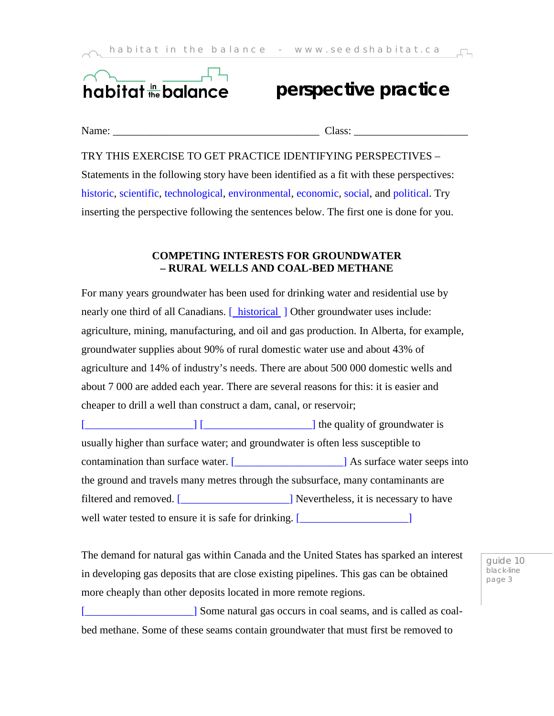

### **perspective practice**

| vame |  |
|------|--|
|------|--|

 $Class:$ 

TRY THIS EXERCISE TO GET PRACTICE IDENTIFYING PERSPECTIVES – Statements in the following story have been identified as a fit with these perspectives: historic, scientific, technological, environmental, economic, social, and political. Try inserting the perspective following the sentences below. The first one is done for you.

#### **COMPETING INTERESTS FOR GROUNDWATER – RURAL WELLS AND COAL-BED METHANE**

For many years groundwater has been used for drinking water and residential use by nearly one third of all Canadians. [ historical ] Other groundwater uses include: agriculture, mining, manufacturing, and oil and gas production. In Alberta, for example, groundwater supplies about 90% of rural domestic water use and about 43% of agriculture and 14% of industry's needs. There are about 500 000 domestic wells and about 7 000 are added each year. There are several reasons for this: it is easier and cheaper to drill a well than construct a dam, canal, or reservoir;

 $\begin{bmatrix} \begin{bmatrix} 1 & 1 \\ 1 & 1 \end{bmatrix} \end{bmatrix}$  [ $\begin{bmatrix} \begin{bmatrix} 1 & 1 \\ 1 & 1 \end{bmatrix} \end{bmatrix}$  the quality of groundwater is usually higher than surface water; and groundwater is often less susceptible to contamination than surface water. [\_\_\_\_\_\_\_\_\_\_\_\_\_\_\_\_\_\_\_\_] As surface water seeps into the ground and travels many metres through the subsurface, many contaminants are filtered and removed. [\_\_\_\_\_\_\_\_\_\_\_\_\_\_\_\_\_\_\_\_] Nevertheless, it is necessary to have well water tested to ensure it is safe for drinking. [\_\_\_\_\_\_\_\_\_\_\_\_\_\_\_\_\_\_\_\_\_\_\_\_\_\_

The demand for natural gas within Canada and the United States has sparked an interest in developing gas deposits that are close existing pipelines. This gas can be obtained more cheaply than other deposits located in more remote regions.

[\_\_\_\_\_\_\_\_\_\_\_\_\_\_\_\_\_\_\_\_] Some natural gas occurs in coal seams, and is called as coalbed methane. Some of these seams contain groundwater that must first be removed to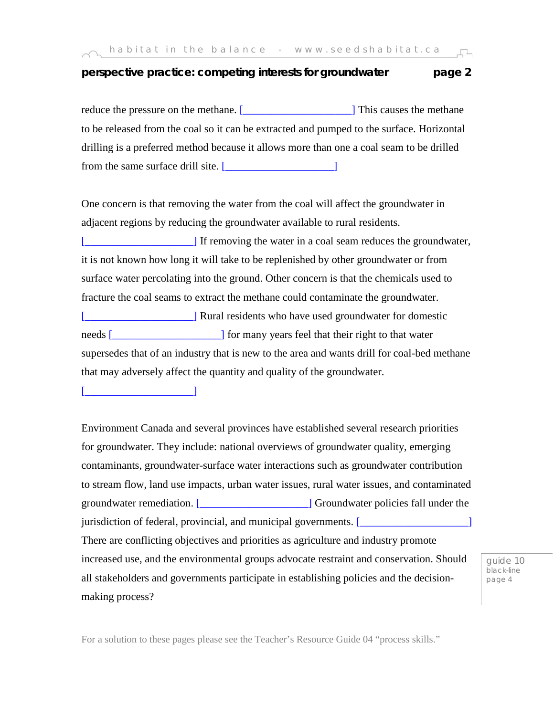#### **perspective practice: competing interests for groundwater page 2**

reduce the pressure on the methane. [\_\_\_\_\_\_\_\_\_\_\_\_\_\_\_\_\_\_\_\_] This causes the methane to be released from the coal so it can be extracted and pumped to the surface. Horizontal drilling is a preferred method because it allows more than one a coal seam to be drilled from the same surface drill site. [2010]

One concern is that removing the water from the coal will affect the groundwater in adjacent regions by reducing the groundwater available to rural residents.

[\_\_\_\_\_\_\_\_\_\_\_\_\_\_\_\_\_\_\_\_] If removing the water in a coal seam reduces the groundwater, it is not known how long it will take to be replenished by other groundwater or from surface water percolating into the ground. Other concern is that the chemicals used to fracture the coal seams to extract the methane could contaminate the groundwater.

[\_\_\_\_\_\_\_\_\_\_\_\_\_\_\_\_\_\_\_\_] Rural residents who have used groundwater for domestic needs [\_\_\_\_\_\_\_\_\_\_\_\_\_\_\_\_\_\_\_\_\_\_\_\_\_] for many years feel that their right to that water supersedes that of an industry that is new to the area and wants drill for coal-bed methane that may adversely affect the quantity and quality of the groundwater.

 $\begin{bmatrix} \begin{bmatrix} 1 & 1 & 1 \end{bmatrix} & \begin{bmatrix} 1 & 1 & 1 \end{bmatrix} & \begin{bmatrix} 1 & 1 & 1 \end{bmatrix} & \begin{bmatrix} 1 & 1 & 1 \end{bmatrix} & \begin{bmatrix} 1 & 1 & 1 \end{bmatrix} & \begin{bmatrix} 1 & 1 & 1 \end{bmatrix} & \begin{bmatrix} 1 & 1 & 1 \end{bmatrix} & \begin{bmatrix} 1 & 1 & 1 \end{bmatrix} & \begin{bmatrix} 1 & 1 & 1 \end{bmatrix} & \begin{bmatrix} 1 & 1 & 1 \end{bmatrix} & \begin{b$ 

Environment Canada and several provinces have established several research priorities for groundwater. They include: national overviews of groundwater quality, emerging contaminants, groundwater-surface water interactions such as groundwater contribution to stream flow, land use impacts, urban water issues, rural water issues, and contaminated groundwater remediation. [\_\_\_\_\_\_\_\_\_\_\_\_\_\_\_\_\_\_\_\_] Groundwater policies fall under the jurisdiction of federal, provincial, and municipal governments. [\_\_\_\_\_\_\_\_\_\_\_\_\_\_\_\_\_\_\_\_] There are conflicting objectives and priorities as agriculture and industry promote increased use, and the environmental groups advocate restraint and conservation. Should all stakeholders and governments participate in establishing policies and the decisionmaking process?

guide 10 black-line page 4

For a solution to these pages please see the Teacher's Resource Guide 04 "process skills."